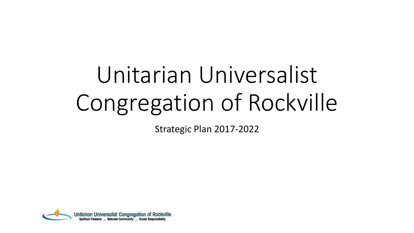# Unitarian Universalist Congregation of Rockville

Strategic Plan 2017-2022

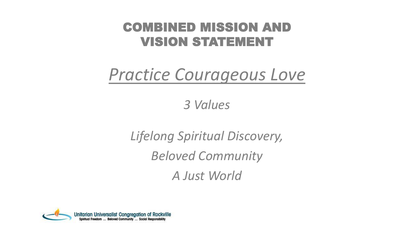#### COMBINED MISSION AND VISION STATEMENT

#### *Practice Courageous Love*

*3 Values*

*Lifelong Spiritual Discovery, Beloved Community A Just World*

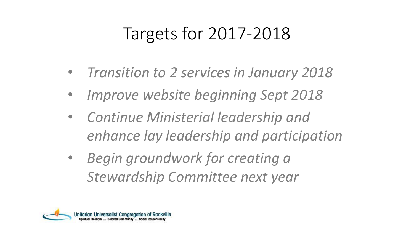### Targets for 2017-2018

- *Transition to 2 services in January 2018*
- *Improve website beginning Sept 2018*
- *Continue Ministerial leadership and enhance lay leadership and participation*
- *Begin groundwork for creating a Stewardship Committee next year*

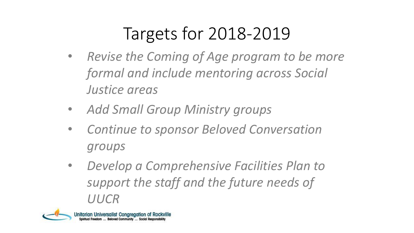# Targets for 2018-2019

- *Revise the Coming of Age program to be more formal and include mentoring across Social Justice areas*
- *Add Small Group Ministry groups*
- *Continue to sponsor Beloved Conversation groups*
- *Develop a Comprehensive Facilities Plan to support the staff and the future needs of UUCR*

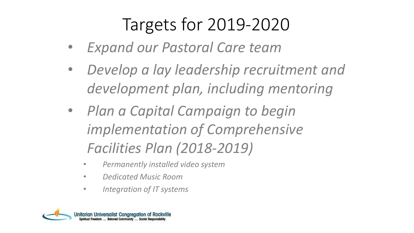# Targets for 2019-2020

- *Expand our Pastoral Care team*
- *Develop a lay leadership recruitment and development plan, including mentoring*
- *Plan a Capital Campaign to begin implementation of Comprehensive Facilities Plan (2018-2019)*
	- *Permanently installed video system*
	- *Dedicated Music Room*
	- *Integration of IT systems*

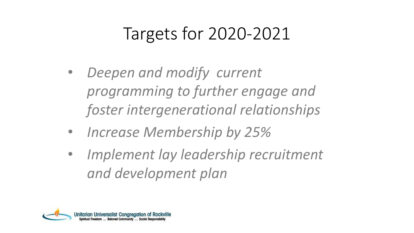### Targets for 2020-2021

- *Deepen and modify current programming to further engage and foster intergenerational relationships*
- *Increase Membership by 25%*
- *Implement lay leadership recruitment and development plan*